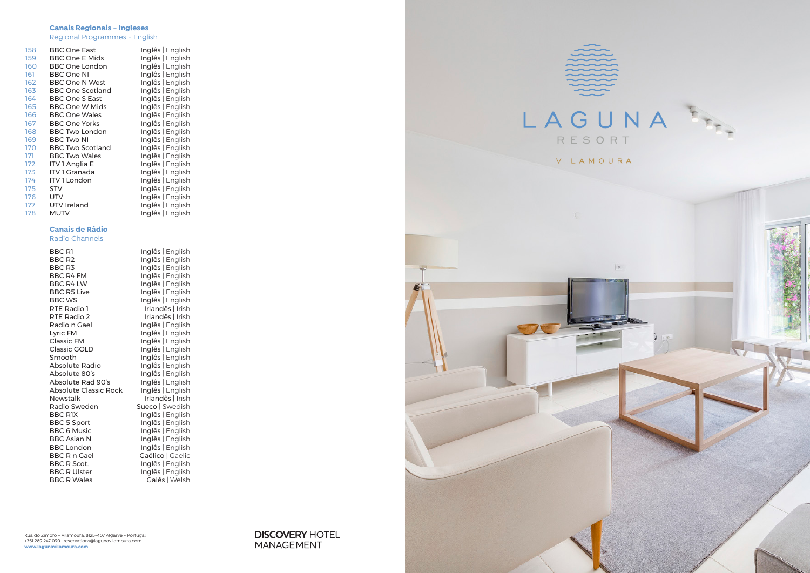### **Canais Regionais - Ingleses**

Regional Programmes - English

| 158 | <b>BBC One East</b>     | Inglês   English |
|-----|-------------------------|------------------|
| 159 | <b>BBC One E Mids</b>   | Inglês   English |
| 160 | <b>BBC One London</b>   | Inglês   English |
| 161 | <b>BBC One NI</b>       | Inglês   English |
| 162 | <b>BBC One N West</b>   | Inglês   English |
| 163 | <b>BBC One Scotland</b> | Inglês   English |
| 164 | <b>BBC One S East</b>   | Inglês   English |
| 165 | BBC One W Mids          | Inglês   English |
| 166 | <b>BBC One Wales</b>    | Inglês   English |
| 167 | <b>BBC One Yorks</b>    | Inglês   English |
| 168 | <b>BBC Two London</b>   | Inglês   English |
| 169 | <b>BBC Two NI</b>       | Inglês   English |
| 170 | <b>BBC Two Scotland</b> | Inglês   English |
| 171 | <b>BBC Two Wales</b>    | Inglês   English |
| 172 | <b>ITV 1 Anglia E</b>   | Inglês   English |
| 173 | ITV 1 Granada           | Inglês   English |
| 174 | <b>ITV1 London</b>      | Inglês   English |
| 175 | <b>STV</b>              | Inglês   English |
| 176 | <b>UTV</b>              | Inglês   English |
| 177 | UTV Ireland             | Inglês   English |
| 178 | <b>MUTV</b>             | Inglês   English |
|     |                         |                  |

### **Canais de Rádio**

### Radio Channels

| BBC R1                       | Inglês   English |
|------------------------------|------------------|
| <b>BBC R2</b>                | Inglês   English |
| BBC <sub>R3</sub>            | Inglês   English |
| <b>BBC R4 FM</b>             | Inglês   English |
| <b>BBC R4 LW</b>             | Inglês   English |
| <b>BBC R5 Live</b>           | Inglês   English |
| <b>BBC WS</b>                | Inglês   English |
| RTE Radio 1                  | Irlandês   Irish |
| RTE Radio 2                  | Irlandês   Irish |
| Radio n Gael                 | Inglês   English |
| Lyric FM                     | Inglês   English |
| <b>Classic FM</b>            | Inglês   English |
| <b>Classic GOLD</b>          | Inglês   English |
| Smooth                       | Inglês   English |
| Absolute Radio               | Inglês   English |
| Absolute 80's                | Inglês   English |
| Absolute Rad 90's            | Inglês   English |
| <b>Absolute Classic Rock</b> | Inglês   English |
| <b>Newstalk</b>              | Irlandês   Irish |
| Radio Sweden                 | Sueco   Swedish  |
| <b>BBC RIX</b>               | Inglês   English |
| <b>BBC 5 Sport</b>           | Inglês   English |
| <b>BBC 6 Music</b>           | Inglês   English |
| BBC Asian N.                 | Inglês   English |
| <b>BBC London</b>            | Inglês   English |
| <b>BBC R n Gael</b>          | Gaélico   Gaelic |
| <b>BBC R Scot.</b>           | Inglês   English |
| <b>BBC R Ulster</b>          | Inglês   English |
| <b>BBC R Wales</b>           | Galês   Welsh    |
|                              |                  |

Inglês | English Inglês | English Inglês | English Irlandês | Irish Inglês | English Inglês | English Inglês | English Inglês | English Inglês | English Inglês | English Inglês | English Sueco | Swedish Inglês | English  $Ingl\acute{e}s$  | English Inglês | English Gaélico | Gaelic Galês | Welsh



**DISCOVERY HOTEL** MANAGEMENT